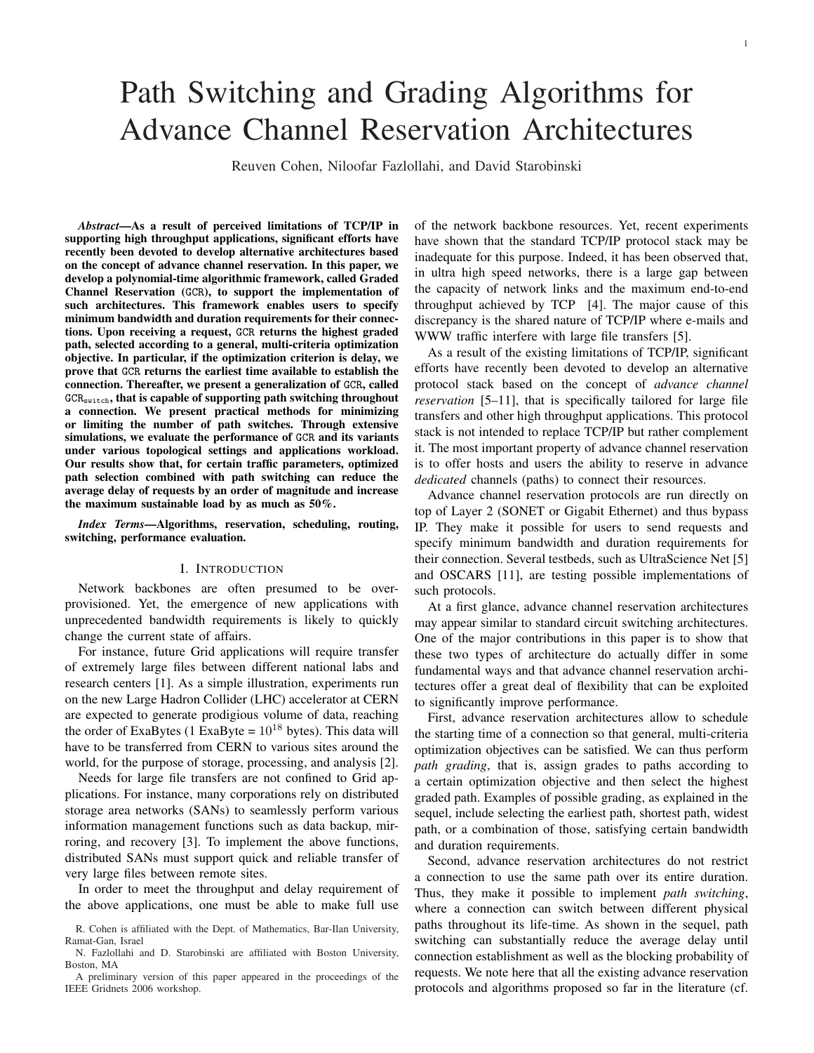# Path Switching and Grading Algorithms for Advance Channel Reservation Architectures

Reuven Cohen, Niloofar Fazlollahi, and David Starobinski

*Abstract*—As a result of perceived limitations of TCP/IP in supporting high throughput applications, significant efforts have recently been devoted to develop alternative architectures based on the concept of advance channel reservation. In this paper, we develop a polynomial-time algorithmic framework, called Graded Channel Reservation (GCR), to support the implementation of such architectures. This framework enables users to specify minimum bandwidth and duration requirements for their connections. Upon receiving a request, GCR returns the highest graded path, selected according to a general, multi-criteria optimization objective. In particular, if the optimization criterion is delay, we prove that GCR returns the earliest time available to establish the connection. Thereafter, we present a generalization of GCR, called GCRswitch, that is capable of supporting path switching throughout a connection. We present practical methods for minimizing or limiting the number of path switches. Through extensive simulations, we evaluate the performance of GCR and its variants under various topological settings and applications workload. Our results show that, for certain traffic parameters, optimized path selection combined with path switching can reduce the average delay of requests by an order of magnitude and increase the maximum sustainable load by as much as 50%.

*Index Terms*—Algorithms, reservation, scheduling, routing, switching, performance evaluation.

# I. INTRODUCTION

Network backbones are often presumed to be overprovisioned. Yet, the emergence of new applications with unprecedented bandwidth requirements is likely to quickly change the current state of affairs.

For instance, future Grid applications will require transfer of extremely large files between different national labs and research centers [1]. As a simple illustration, experiments run on the new Large Hadron Collider (LHC) accelerator at CERN are expected to generate prodigious volume of data, reaching the order of ExaBytes (1 ExaByte =  $10^{18}$  bytes). This data will have to be transferred from CERN to various sites around the world, for the purpose of storage, processing, and analysis [2].

Needs for large file transfers are not confined to Grid applications. For instance, many corporations rely on distributed storage area networks (SANs) to seamlessly perform various information management functions such as data backup, mirroring, and recovery [3]. To implement the above functions, distributed SANs must support quick and reliable transfer of very large files between remote sites.

In order to meet the throughput and delay requirement of the above applications, one must be able to make full use

of the network backbone resources. Yet, recent experiments have shown that the standard TCP/IP protocol stack may be inadequate for this purpose. Indeed, it has been observed that, in ultra high speed networks, there is a large gap between the capacity of network links and the maximum end-to-end throughput achieved by TCP [4]. The major cause of this discrepancy is the shared nature of TCP/IP where e-mails and WWW traffic interfere with large file transfers [5].

As a result of the existing limitations of TCP/IP, significant efforts have recently been devoted to develop an alternative protocol stack based on the concept of *advance channel reservation* [5–11], that is specifically tailored for large file transfers and other high throughput applications. This protocol stack is not intended to replace TCP/IP but rather complement it. The most important property of advance channel reservation is to offer hosts and users the ability to reserve in advance *dedicated* channels (paths) to connect their resources.

Advance channel reservation protocols are run directly on top of Layer 2 (SONET or Gigabit Ethernet) and thus bypass IP. They make it possible for users to send requests and specify minimum bandwidth and duration requirements for their connection. Several testbeds, such as UltraScience Net [5] and OSCARS [11], are testing possible implementations of such protocols.

At a first glance, advance channel reservation architectures may appear similar to standard circuit switching architectures. One of the major contributions in this paper is to show that these two types of architecture do actually differ in some fundamental ways and that advance channel reservation architectures offer a great deal of flexibility that can be exploited to significantly improve performance.

First, advance reservation architectures allow to schedule the starting time of a connection so that general, multi-criteria optimization objectives can be satisfied. We can thus perform *path grading*, that is, assign grades to paths according to a certain optimization objective and then select the highest graded path. Examples of possible grading, as explained in the sequel, include selecting the earliest path, shortest path, widest path, or a combination of those, satisfying certain bandwidth and duration requirements.

Second, advance reservation architectures do not restrict a connection to use the same path over its entire duration. Thus, they make it possible to implement *path switching*, where a connection can switch between different physical paths throughout its life-time. As shown in the sequel, path switching can substantially reduce the average delay until connection establishment as well as the blocking probability of requests. We note here that all the existing advance reservation protocols and algorithms proposed so far in the literature (cf.

R. Cohen is affiliated with the Dept. of Mathematics, Bar-Ilan University, Ramat-Gan, Israel

N. Fazlollahi and D. Starobinski are affiliated with Boston University, Boston, MA

A preliminary version of this paper appeared in the proceedings of the IEEE Gridnets 2006 workshop.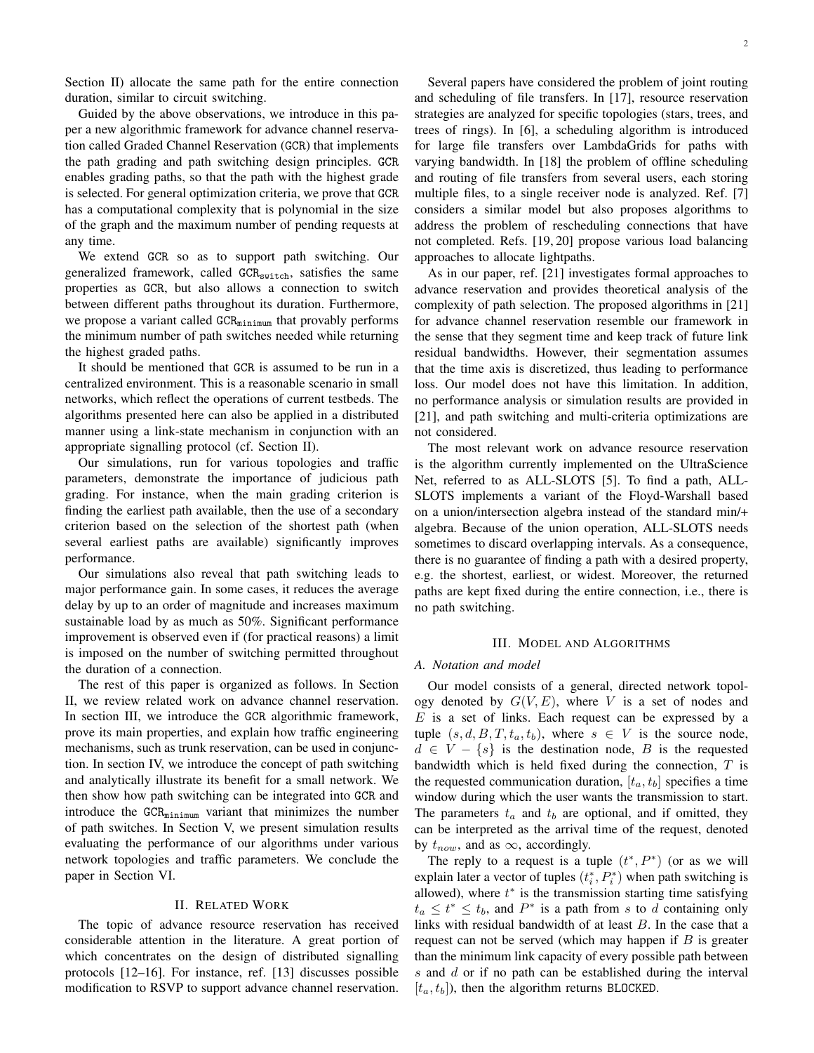2

Section II) allocate the same path for the entire connection duration, similar to circuit switching.

Guided by the above observations, we introduce in this paper a new algorithmic framework for advance channel reservation called Graded Channel Reservation (GCR) that implements the path grading and path switching design principles. GCR enables grading paths, so that the path with the highest grade is selected. For general optimization criteria, we prove that GCR has a computational complexity that is polynomial in the size of the graph and the maximum number of pending requests at any time.

We extend GCR so as to support path switching. Our generalized framework, called  $GCR<sub>switch</sub>$ , satisfies the same properties as GCR, but also allows a connection to switch between different paths throughout its duration. Furthermore, we propose a variant called GCR<sub>minimum</sub> that provably performs the minimum number of path switches needed while returning the highest graded paths.

It should be mentioned that GCR is assumed to be run in a centralized environment. This is a reasonable scenario in small networks, which reflect the operations of current testbeds. The algorithms presented here can also be applied in a distributed manner using a link-state mechanism in conjunction with an appropriate signalling protocol (cf. Section II).

Our simulations, run for various topologies and traffic parameters, demonstrate the importance of judicious path grading. For instance, when the main grading criterion is finding the earliest path available, then the use of a secondary criterion based on the selection of the shortest path (when several earliest paths are available) significantly improves performance.

Our simulations also reveal that path switching leads to major performance gain. In some cases, it reduces the average delay by up to an order of magnitude and increases maximum sustainable load by as much as 50%. Significant performance improvement is observed even if (for practical reasons) a limit is imposed on the number of switching permitted throughout the duration of a connection.

The rest of this paper is organized as follows. In Section II, we review related work on advance channel reservation. In section III, we introduce the GCR algorithmic framework, prove its main properties, and explain how traffic engineering mechanisms, such as trunk reservation, can be used in conjunction. In section IV, we introduce the concept of path switching and analytically illustrate its benefit for a small network. We then show how path switching can be integrated into GCR and introduce the  $GCR<sub>minimum</sub>$  variant that minimizes the number of path switches. In Section V, we present simulation results evaluating the performance of our algorithms under various network topologies and traffic parameters. We conclude the paper in Section VI.

## II. RELATED WORK

The topic of advance resource reservation has received considerable attention in the literature. A great portion of which concentrates on the design of distributed signalling protocols [12–16]. For instance, ref. [13] discusses possible modification to RSVP to support advance channel reservation.

Several papers have considered the problem of joint routing and scheduling of file transfers. In [17], resource reservation strategies are analyzed for specific topologies (stars, trees, and trees of rings). In [6], a scheduling algorithm is introduced for large file transfers over LambdaGrids for paths with varying bandwidth. In [18] the problem of offline scheduling and routing of file transfers from several users, each storing multiple files, to a single receiver node is analyzed. Ref. [7] considers a similar model but also proposes algorithms to address the problem of rescheduling connections that have not completed. Refs. [19, 20] propose various load balancing approaches to allocate lightpaths.

As in our paper, ref. [21] investigates formal approaches to advance reservation and provides theoretical analysis of the complexity of path selection. The proposed algorithms in [21] for advance channel reservation resemble our framework in the sense that they segment time and keep track of future link residual bandwidths. However, their segmentation assumes that the time axis is discretized, thus leading to performance loss. Our model does not have this limitation. In addition, no performance analysis or simulation results are provided in [21], and path switching and multi-criteria optimizations are not considered.

The most relevant work on advance resource reservation is the algorithm currently implemented on the UltraScience Net, referred to as ALL-SLOTS [5]. To find a path, ALL-SLOTS implements a variant of the Floyd-Warshall based on a union/intersection algebra instead of the standard min/+ algebra. Because of the union operation, ALL-SLOTS needs sometimes to discard overlapping intervals. As a consequence, there is no guarantee of finding a path with a desired property, e.g. the shortest, earliest, or widest. Moreover, the returned paths are kept fixed during the entire connection, i.e., there is no path switching.

## III. MODEL AND ALGORITHMS

# *A. Notation and model*

Our model consists of a general, directed network topology denoted by  $G(V, E)$ , where V is a set of nodes and  $E$  is a set of links. Each request can be expressed by a tuple  $(s, d, B, T, t_a, t_b)$ , where  $s \in V$  is the source node,  $d \in V - \{s\}$  is the destination node, B is the requested bandwidth which is held fixed during the connection,  $T$  is the requested communication duration,  $[t_a, t_b]$  specifies a time window during which the user wants the transmission to start. The parameters  $t_a$  and  $t_b$  are optional, and if omitted, they can be interpreted as the arrival time of the request, denoted by  $t_{now}$ , and as  $\infty$ , accordingly.

The reply to a request is a tuple  $(t^*, P^*)$  (or as we will explain later a vector of tuples  $(t_i^*, P_i^*)$  when path switching is allowed), where  $t^*$  is the transmission starting time satisfying  $t_a \leq t^* \leq t_b$ , and  $P^*$  is a path from s to d containing only links with residual bandwidth of at least B. In the case that a request can not be served (which may happen if  $B$  is greater than the minimum link capacity of every possible path between  $s$  and  $d$  or if no path can be established during the interval  $[t_a, t_b]$ , then the algorithm returns BLOCKED.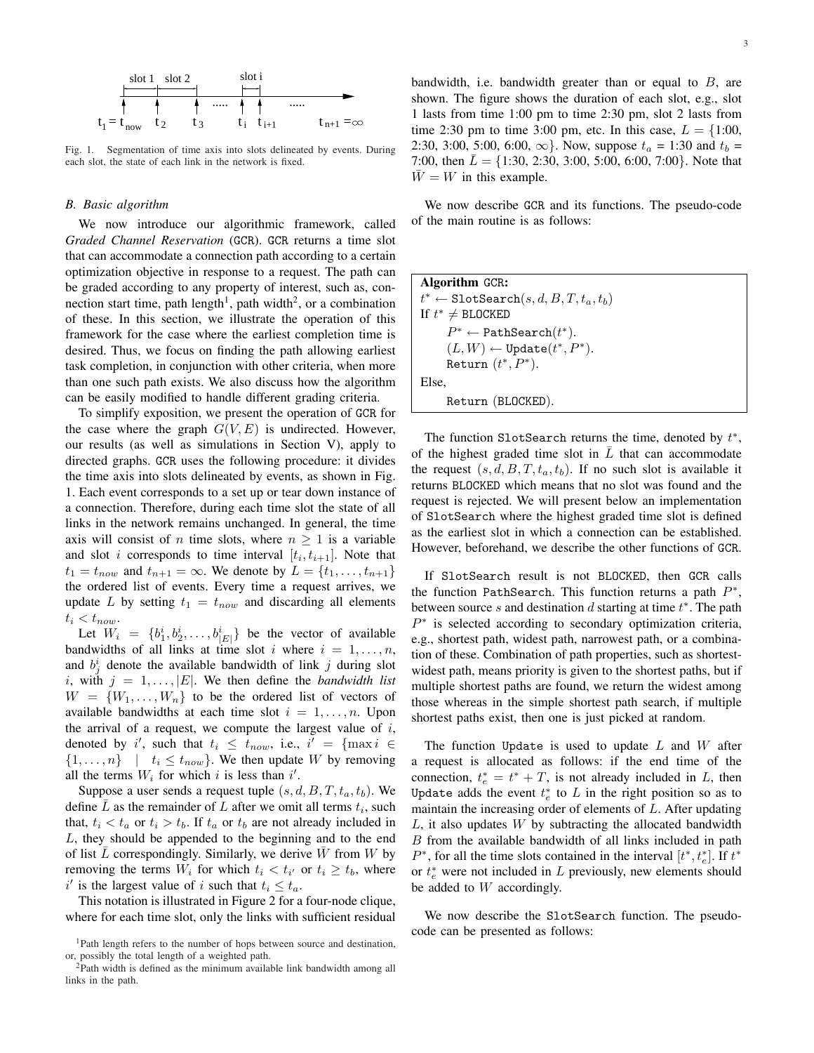

Fig. 1. Segmentation of time axis into slots delineated by events. During each slot, the state of each link in the network is fixed.

#### *B. Basic algorithm*

We now introduce our algorithmic framework, called *Graded Channel Reservation* (GCR). GCR returns a time slot that can accommodate a connection path according to a certain optimization objective in response to a request. The path can be graded according to any property of interest, such as, connection start time, path length<sup>1</sup>, path width<sup>2</sup>, or a combination of these. In this section, we illustrate the operation of this framework for the case where the earliest completion time is desired. Thus, we focus on finding the path allowing earliest task completion, in conjunction with other criteria, when more than one such path exists. We also discuss how the algorithm can be easily modified to handle different grading criteria.

To simplify exposition, we present the operation of GCR for the case where the graph  $G(V, E)$  is undirected. However, our results (as well as simulations in Section V), apply to directed graphs. GCR uses the following procedure: it divides the time axis into slots delineated by events, as shown in Fig. 1. Each event corresponds to a set up or tear down instance of a connection. Therefore, during each time slot the state of all links in the network remains unchanged. In general, the time axis will consist of *n* time slots, where  $n \geq 1$  is a variable and slot *i* corresponds to time interval  $[t_i, t_{i+1}]$ . Note that  $t_1 = t_{now}$  and  $t_{n+1} = \infty$ . We denote by  $L = \{t_1, ..., t_{n+1}\}\$ the ordered list of events. Every time a request arrives, we update L by setting  $t_1 = t_{now}$  and discarding all elements  $t_i < t_{now}.$ 

Let  $W_i = \{b_1^i, b_2^i, \dots, b_{|E|}^i\}$  be the vector of available bandwidths of all links at time slot i where  $i = 1, \ldots, n$ , and  $b_j^i$  denote the available bandwidth of link j during slot i, with  $j = 1, \ldots, |E|$ . We then define the *bandwidth list*  $W = \{W_1, \ldots, W_n\}$  to be the ordered list of vectors of available bandwidths at each time slot  $i = 1, \ldots, n$ . Upon the arrival of a request, we compute the largest value of  $i$ , denoted by i', such that  $t_i \leq t_{now}$ , i.e.,  $i' = \{\max i \in$  $\{1, \ldots, n\}$  |  $t_i \leq t_{now}$ }. We then update W by removing all the terms  $W_i$  for which i is less than i'.

Suppose a user sends a request tuple  $(s, d, B, T, t_a, t_b)$ . We define  $\overline{L}$  as the remainder of  $\overline{L}$  after we omit all terms  $t_i$ , such that,  $t_i < t_a$  or  $t_i > t_b$ . If  $t_a$  or  $t_b$  are not already included in L, they should be appended to the beginning and to the end of list  $\overline{L}$  correspondingly. Similarly, we derive  $\overline{W}$  from W by removing the terms  $W_i$  for which  $t_i < t_{i'}$  or  $t_i \geq t_b$ , where i' is the largest value of i such that  $t_i \leq t_a$ .

This notation is illustrated in Figure 2 for a four-node clique, where for each time slot, only the links with sufficient residual bandwidth, i.e. bandwidth greater than or equal to  $B$ , are shown. The figure shows the duration of each slot, e.g., slot 1 lasts from time 1:00 pm to time 2:30 pm, slot 2 lasts from time 2:30 pm to time 3:00 pm, etc. In this case,  $L = \{1:00,$ 2:30, 3:00, 5:00, 6:00,  $\infty$ . Now, suppose  $t_a = 1:30$  and  $t_b =$ 7:00, then  $\bar{L} = \{1:30, 2:30, 3:00, 5:00, 6:00, 7:00\}$ . Note that  $\overline{W} = W$  in this example.

We now describe GCR and its functions. The pseudo-code of the main routine is as follows:

| Algorithm GCR:                                       |
|------------------------------------------------------|
| $t^* \leftarrow$ SlotSearch $(s, d, B, T, t_a, t_b)$ |
| If $t^* \neq$ BLOCKED                                |
| $P^* \leftarrow$ PathSearch $(t^*)$ .                |
| $(L, W) \leftarrow \text{Update}(t^*, P^*).$         |
| Return $(t^*, P^*)$ .                                |
| Else,                                                |
| Return (BLOCKED).                                    |

The function SlotSearch returns the time, denoted by  $t^*$ , of the highest graded time slot in  $\overline{L}$  that can accommodate the request  $(s, d, B, T, t_a, t_b)$ . If no such slot is available it returns BLOCKED which means that no slot was found and the request is rejected. We will present below an implementation of SlotSearch where the highest graded time slot is defined as the earliest slot in which a connection can be established. However, beforehand, we describe the other functions of GCR.

If SlotSearch result is not BLOCKED, then GCR calls the function PathSearch. This function returns a path  $P^*$ , between source s and destination  $d$  starting at time  $t^*$ . The path  $P^*$  is selected according to secondary optimization criteria, e.g., shortest path, widest path, narrowest path, or a combination of these. Combination of path properties, such as shortestwidest path, means priority is given to the shortest paths, but if multiple shortest paths are found, we return the widest among those whereas in the simple shortest path search, if multiple shortest paths exist, then one is just picked at random.

The function Update is used to update  $L$  and  $W$  after a request is allocated as follows: if the end time of the connection,  $t_e^* = t^* + T$ , is not already included in L, then Update adds the event  $t_e^*$  to  $L$  in the right position so as to maintain the increasing order of elements of  $L$ . After updating  $L$ , it also updates  $W$  by subtracting the allocated bandwidth B from the available bandwidth of all links included in path  $P^*$ , for all the time slots contained in the interval  $[t^*, t^*_{\epsilon}]$ . If  $t^*$ or  $t_e^*$  were not included in  $L$  previously, new elements should be added to  $W$  accordingly.

We now describe the SlotSearch function. The pseudocode can be presented as follows:

<sup>1</sup>Path length refers to the number of hops between source and destination, or, possibly the total length of a weighted path.

<sup>&</sup>lt;sup>2</sup>Path width is defined as the minimum available link bandwidth among all links in the path.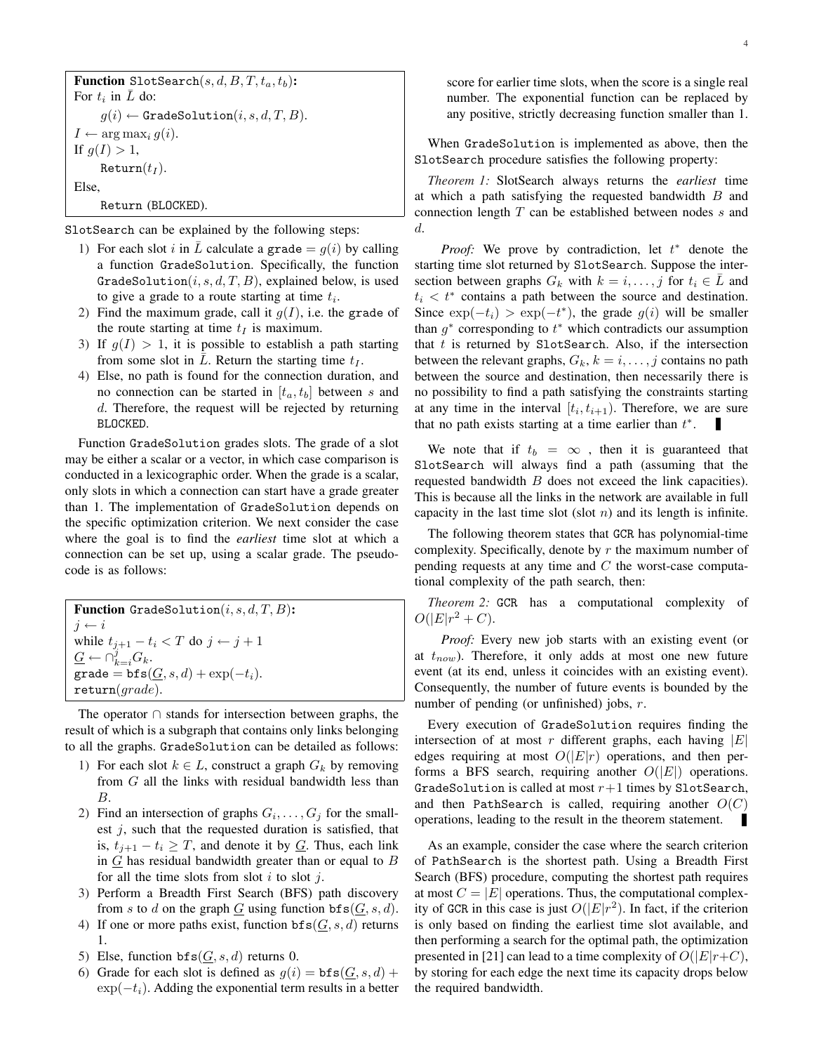SlotSearch can be explained by the following steps:

- 1) For each slot i in L calculate a grade  $= g(i)$  by calling a function GradeSolution. Specifically, the function GradeSolution $(i, s, d, T, B)$ , explained below, is used to give a grade to a route starting at time  $t_i$ .
- 2) Find the maximum grade, call it  $g(I)$ , i.e. the grade of the route starting at time  $t_I$  is maximum.
- 3) If  $g(I) > 1$ , it is possible to establish a path starting from some slot in L. Return the starting time  $t_I$ .
- 4) Else, no path is found for the connection duration, and no connection can be started in  $[t_a, t_b]$  between s and d. Therefore, the request will be rejected by returning BLOCKED.

Function GradeSolution grades slots. The grade of a slot may be either a scalar or a vector, in which case comparison is conducted in a lexicographic order. When the grade is a scalar, only slots in which a connection can start have a grade greater than 1. The implementation of GradeSolution depends on the specific optimization criterion. We next consider the case where the goal is to find the *earliest* time slot at which a connection can be set up, using a scalar grade. The pseudocode is as follows:

**Function** GradeSolution $(i, s, d, T, B)$ :  $j \leftarrow i$ while  $t_{j+1} - t_i < T$  do  $j \leftarrow j + 1$  $\underline{G} \leftarrow \cap_{k=i}^{j} G_k.$  $\texttt{grade} = \texttt{bfs}(G, s, d) + \exp(-t_i).$  $return (grade).$ 

The operator ∩ stands for intersection between graphs, the result of which is a subgraph that contains only links belonging to all the graphs. GradeSolution can be detailed as follows:

- 1) For each slot  $k \in L$ , construct a graph  $G_k$  by removing from G all the links with residual bandwidth less than B.
- 2) Find an intersection of graphs  $G_i, \ldots, G_j$  for the smallest  $j$ , such that the requested duration is satisfied, that is,  $t_{j+1} - t_i \geq T$ , and denote it by  $G$ . Thus, each link in  $G$  has residual bandwidth greater than or equal to  $B$ for all the time slots from slot  $i$  to slot  $j$ .
- 3) Perform a Breadth First Search (BFS) path discovery from s to d on the graph G using function  $\text{bfs}(G, s, d)$ .
- 4) If one or more paths exist, function  $\text{bfs}(\underline{G}, s, d)$  returns 1.
- 5) Else, function  $\mathsf{bfs}(G, s, d)$  returns 0.
- 6) Grade for each slot is defined as  $g(i) = \text{bfs}(G, s, d) +$  $\exp(-t_i)$ . Adding the exponential term results in a better

score for earlier time slots, when the score is a single real number. The exponential function can be replaced by any positive, strictly decreasing function smaller than 1.

When GradeSolution is implemented as above, then the SlotSearch procedure satisfies the following property:

*Theorem 1:* SlotSearch always returns the *earliest* time at which a path satisfying the requested bandwidth  $B$  and connection length  $T$  can be established between nodes  $s$  and d.

*Proof:* We prove by contradiction, let  $t^*$  denote the starting time slot returned by SlotSearch. Suppose the intersection between graphs  $G_k$  with  $k = i, \ldots, j$  for  $t_i \in L$  and  $t_i < t^*$  contains a path between the source and destination. Since  $\exp(-t_i) > \exp(-t^*)$ , the grade  $g(i)$  will be smaller than  $g^*$  corresponding to  $t^*$  which contradicts our assumption that  $t$  is returned by SlotSearch. Also, if the intersection between the relevant graphs,  $G_k$ ,  $k = i, \ldots, j$  contains no path between the source and destination, then necessarily there is no possibility to find a path satisfying the constraints starting at any time in the interval  $[t_i, t_{i+1})$ . Therefore, we are sure that no path exists starting at a time earlier than  $t^*$ .

We note that if  $t_b = \infty$ , then it is guaranteed that SlotSearch will always find a path (assuming that the requested bandwidth B does not exceed the link capacities). This is because all the links in the network are available in full capacity in the last time slot (slot  $n$ ) and its length is infinite.

The following theorem states that GCR has polynomial-time complexity. Specifically, denote by r the maximum number of pending requests at any time and  $C$  the worst-case computational complexity of the path search, then:

*Theorem 2:* GCR has a computational complexity of  $O(|E|r^2 + C).$ 

*Proof:* Every new job starts with an existing event (or at  $t_{now}$ ). Therefore, it only adds at most one new future event (at its end, unless it coincides with an existing event). Consequently, the number of future events is bounded by the number of pending (or unfinished) jobs,  $r$ .

Every execution of GradeSolution requires finding the intersection of at most r different graphs, each having  $|E|$ edges requiring at most  $O(|E|r)$  operations, and then performs a BFS search, requiring another  $O(|E|)$  operations. GradeSolution is called at most  $r+1$  times by SlotSearch, and then PathSearch is called, requiring another  $O(C)$ operations, leading to the result in the theorem statement.

As an example, consider the case where the search criterion of PathSearch is the shortest path. Using a Breadth First Search (BFS) procedure, computing the shortest path requires at most  $C = |E|$  operations. Thus, the computational complexity of GCR in this case is just  $O(|E|r^2)$ . In fact, if the criterion is only based on finding the earliest time slot available, and then performing a search for the optimal path, the optimization presented in [21] can lead to a time complexity of  $O(|E|r+C)$ , by storing for each edge the next time its capacity drops below the required bandwidth.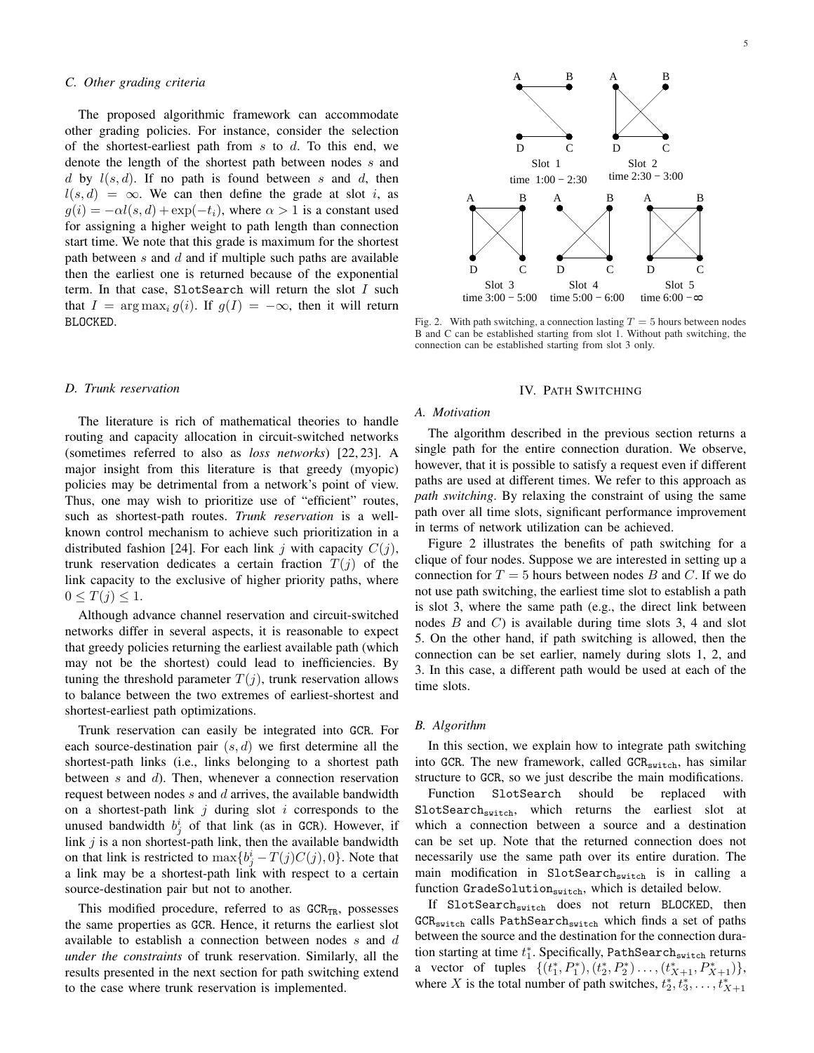## *C. Other grading criteria*

The proposed algorithmic framework can accommodate other grading policies. For instance, consider the selection of the shortest-earliest path from  $s$  to  $d$ . To this end, we denote the length of the shortest path between nodes s and d by  $l(s, d)$ . If no path is found between s and d, then  $l(s, d) = \infty$ . We can then define the grade at slot i, as  $g(i) = -\alpha l(s, d) + \exp(-t_i)$ , where  $\alpha > 1$  is a constant used for assigning a higher weight to path length than connection start time. We note that this grade is maximum for the shortest path between  $s$  and  $d$  and if multiple such paths are available then the earliest one is returned because of the exponential term. In that case, SlotSearch will return the slot I such that  $I = \arg \max_i g(i)$ . If  $g(I) = -\infty$ , then it will return BLOCKED.

## *D. Trunk reservation*

The literature is rich of mathematical theories to handle routing and capacity allocation in circuit-switched networks (sometimes referred to also as *loss networks*) [22, 23]. A major insight from this literature is that greedy (myopic) policies may be detrimental from a network's point of view. Thus, one may wish to prioritize use of "efficient" routes, such as shortest-path routes. *Trunk reservation* is a wellknown control mechanism to achieve such prioritization in a distributed fashion [24]. For each link j with capacity  $C(j)$ , trunk reservation dedicates a certain fraction  $T(j)$  of the link capacity to the exclusive of higher priority paths, where  $0 \leq T(j) \leq 1$ .

Although advance channel reservation and circuit-switched networks differ in several aspects, it is reasonable to expect that greedy policies returning the earliest available path (which may not be the shortest) could lead to inefficiencies. By tuning the threshold parameter  $T(j)$ , trunk reservation allows to balance between the two extremes of earliest-shortest and shortest-earliest path optimizations.

Trunk reservation can easily be integrated into GCR. For each source-destination pair  $(s, d)$  we first determine all the shortest-path links (i.e., links belonging to a shortest path between  $s$  and  $d$ ). Then, whenever a connection reservation request between nodes  $s$  and  $d$  arrives, the available bandwidth on a shortest-path link  $j$  during slot  $i$  corresponds to the unused bandwidth  $b_j^i$  of that link (as in GCR). However, if link  $j$  is a non shortest-path link, then the available bandwidth on that link is restricted to  $\max\{b_j^i - T(j)C(j), 0\}$ . Note that a link may be a shortest-path link with respect to a certain source-destination pair but not to another.

This modified procedure, referred to as  $GCR_{TR}$ , possesses the same properties as GCR. Hence, it returns the earliest slot available to establish a connection between nodes  $s$  and  $d$ *under the constraints* of trunk reservation. Similarly, all the results presented in the next section for path switching extend to the case where trunk reservation is implemented.



Fig. 2. With path switching, a connection lasting  $T = 5$  hours between nodes B and C can be established starting from slot 1. Without path switching, the connection can be established starting from slot 3 only.

#### IV. PATH SWITCHING

# *A. Motivation*

The algorithm described in the previous section returns a single path for the entire connection duration. We observe, however, that it is possible to satisfy a request even if different paths are used at different times. We refer to this approach as *path switching*. By relaxing the constraint of using the same path over all time slots, significant performance improvement in terms of network utilization can be achieved.

Figure 2 illustrates the benefits of path switching for a clique of four nodes. Suppose we are interested in setting up a connection for  $T = 5$  hours between nodes B and C. If we do not use path switching, the earliest time slot to establish a path is slot 3, where the same path (e.g., the direct link between nodes  $B$  and  $C$ ) is available during time slots 3, 4 and slot 5. On the other hand, if path switching is allowed, then the connection can be set earlier, namely during slots 1, 2, and 3. In this case, a different path would be used at each of the time slots.

# *B. Algorithm*

In this section, we explain how to integrate path switching into GCR. The new framework, called GCR<sub>switch</sub>, has similar structure to GCR, so we just describe the main modifications.

Function SlotSearch should be replaced with  $S$ lotSearch<sub>switch</sub>, which returns the earliest slot at which a connection between a source and a destination can be set up. Note that the returned connection does not necessarily use the same path over its entire duration. The main modification in SlotSearch<sub>switch</sub> is in calling a function GradeSolution<sub>switch</sub>, which is detailed below.

If SlotSearch<sub>switch</sub> does not return BLOCKED, then GCRswitch calls PathSearchswitch which finds a set of paths between the source and the destination for the connection duration starting at time  $t_1^*$ . Specifically, PathSearch<sub>switch</sub> returns a vector of tuples  $\{(t_1^*, P_1^*), (t_2^*, P_2^*) \dots, (t_{X+1}^*, P_{X+1}^*)\},\$ where X is the total number of path switches,  $t_2^*, t_3^*, \ldots, t_{X+1}^*$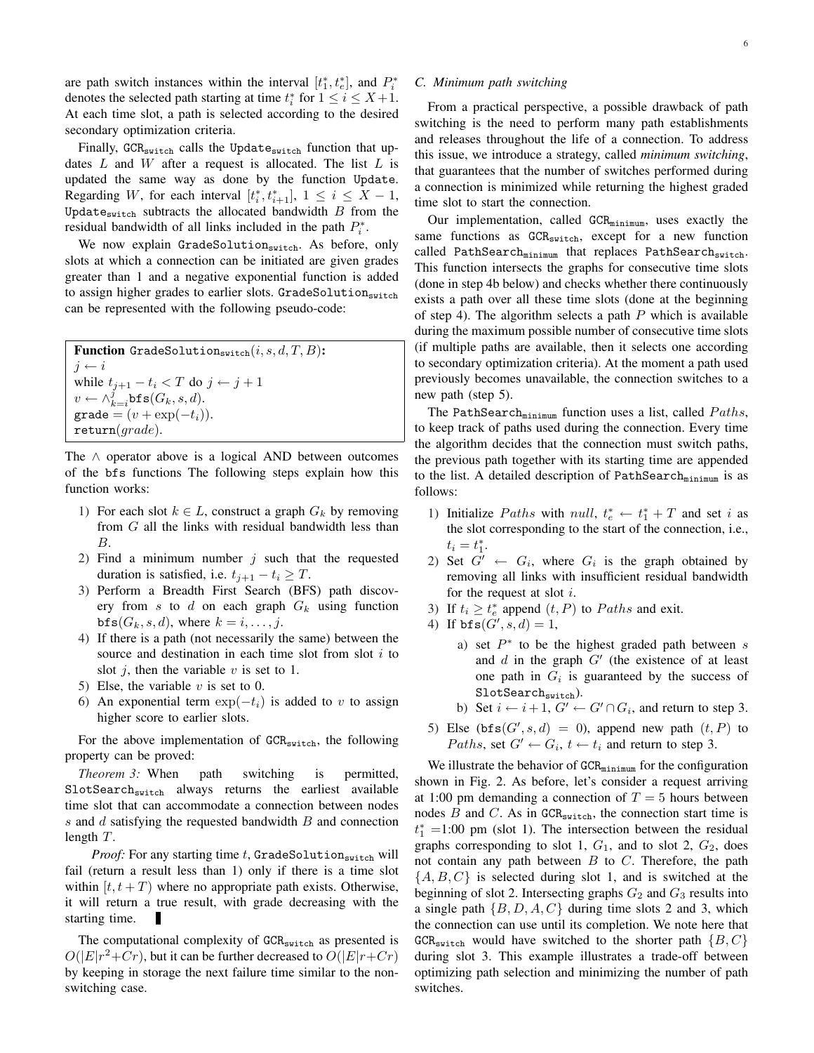are path switch instances within the interval  $[t_1^*, t_e^*]$ , and  $P_i^*$ denotes the selected path starting at time  $t_i^*$  for  $1 \le i \le X+1$ . At each time slot, a path is selected according to the desired secondary optimization criteria.

Finally, GCR<sub>switch</sub> calls the Update<sub>switch</sub> function that updates  $L$  and  $W$  after a request is allocated. The list  $L$  is updated the same way as done by the function Update. Regarding W, for each interval  $[t_i^*, t_{i+1}^*], 1 \le i \le X - 1$ , Update<sub>switch</sub> subtracts the allocated bandwidth  $B$  from the residual bandwidth of all links included in the path  $P_i^*$ .

We now explain GradeSolution<sub>switch</sub>. As before, only slots at which a connection can be initiated are given grades greater than 1 and a negative exponential function is added to assign higher grades to earlier slots. GradeSolutionswitch can be represented with the following pseudo-code:

**Function** GradeSolution<sub>switch</sub> $(i, s, d, T, B)$ :  $j \leftarrow i$ while  $t_{j+1} - t_i < T$  do  $j \leftarrow j + 1$  $v \leftarrow \wedge_{k=i}^j \texttt{bfs}(G_k, s, d).$  $\text{grade} = (v + \exp(-t_i)).$  $return(grade).$ 

The  $\land$  operator above is a logical AND between outcomes of the bfs functions The following steps explain how this function works:

- 1) For each slot  $k \in L$ , construct a graph  $G_k$  by removing from G all the links with residual bandwidth less than B.
- 2) Find a minimum number  $j$  such that the requested duration is satisfied, i.e.  $t_{j+1} - t_i \geq T$ .
- 3) Perform a Breadth First Search (BFS) path discovery from s to d on each graph  $G_k$  using function  $\mathsf{bfs}(G_k, s, d)$ , where  $k = i, \ldots, j$ .
- 4) If there is a path (not necessarily the same) between the source and destination in each time slot from slot  $i$  to slot  $i$ , then the variable  $v$  is set to 1.
- 5) Else, the variable  $v$  is set to 0.
- 6) An exponential term  $\exp(-t_i)$  is added to v to assign higher score to earlier slots.

For the above implementation of GCR<sub>switch</sub>, the following property can be proved:

*Theorem 3:* When path switching is permitted, SlotSearch<sub>switch</sub> always returns the earliest available time slot that can accommodate a connection between nodes s and  $d$  satisfying the requested bandwidth  $B$  and connection length T.

*Proof:* For any starting time t, GradeSolution<sub>switch</sub> will fail (return a result less than 1) only if there is a time slot within  $[t, t + T)$  where no appropriate path exists. Otherwise, it will return a true result, with grade decreasing with the starting time.

The computational complexity of  $GCR<sub>switch</sub>$  as presented is  $O(|E|r^2+Cr)$ , but it can be further decreased to  $O(|E|r+Cr)$ by keeping in storage the next failure time similar to the nonswitching case.

# *C. Minimum path switching*

From a practical perspective, a possible drawback of path switching is the need to perform many path establishments and releases throughout the life of a connection. To address this issue, we introduce a strategy, called *minimum switching*, that guarantees that the number of switches performed during a connection is minimized while returning the highest graded time slot to start the connection.

Our implementation, called  $GCR<sub>minimum</sub>$ , uses exactly the same functions as GCR<sub>switch</sub>, except for a new function called PathSearch<sub>minimum</sub> that replaces PathSearch<sub>switch</sub>. This function intersects the graphs for consecutive time slots (done in step 4b below) and checks whether there continuously exists a path over all these time slots (done at the beginning of step 4). The algorithm selects a path  $P$  which is available during the maximum possible number of consecutive time slots (if multiple paths are available, then it selects one according to secondary optimization criteria). At the moment a path used previously becomes unavailable, the connection switches to a new path (step 5).

The PathSearch<sub>minimum</sub> function uses a list, called  $Paths$ , to keep track of paths used during the connection. Every time the algorithm decides that the connection must switch paths, the previous path together with its starting time are appended to the list. A detailed description of PathSearch $_{minimum}$  is as follows:

- 1) Initialize Paths with null,  $t_e^* \leftarrow t_1^* + T$  and set i as the slot corresponding to the start of the connection, i.e.,  $t_i = t_1^*$ .
- 2) Set  $G' \leftarrow G_i$ , where  $G_i$  is the graph obtained by removing all links with insufficient residual bandwidth for the request at slot  $i$ .
- 3) If  $t_i \geq t_e^*$  append  $(t, P)$  to  $Paths$  and exit.
- 4) If  $\mathsf{bfs}(G', s, d) = 1$ ,
	- a) set  $P^*$  to be the highest graded path between s and  $d$  in the graph  $G'$  (the existence of at least one path in  $G_i$  is guaranteed by the success of SlotSearch<sub>switch</sub>).
	- b) Set  $i \leftarrow i+1$ ,  $G' \leftarrow G' \cap G_i$ , and return to step 3.
- 5) Else (bfs $(G', s, d) = 0$ ), append new path  $(t, P)$  to Paths, set  $G' \leftarrow G_i$ ,  $t \leftarrow t_i$  and return to step 3.

We illustrate the behavior of  $GCR<sub>minimum</sub>$  for the configuration shown in Fig. 2. As before, let's consider a request arriving at 1:00 pm demanding a connection of  $T = 5$  hours between nodes  $B$  and  $C$ . As in GCR<sub>switch</sub>, the connection start time is  $t_1^*$  =1:00 pm (slot 1). The intersection between the residual graphs corresponding to slot 1,  $G_1$ , and to slot 2,  $G_2$ , does not contain any path between  $B$  to  $C$ . Therefore, the path  $\{A, B, C\}$  is selected during slot 1, and is switched at the beginning of slot 2. Intersecting graphs  $G_2$  and  $G_3$  results into a single path  $\{B, D, A, C\}$  during time slots 2 and 3, which the connection can use until its completion. We note here that  $GCR<sub>switch</sub>$  would have switched to the shorter path  $\{B, C\}$ during slot 3. This example illustrates a trade-off between optimizing path selection and minimizing the number of path switches.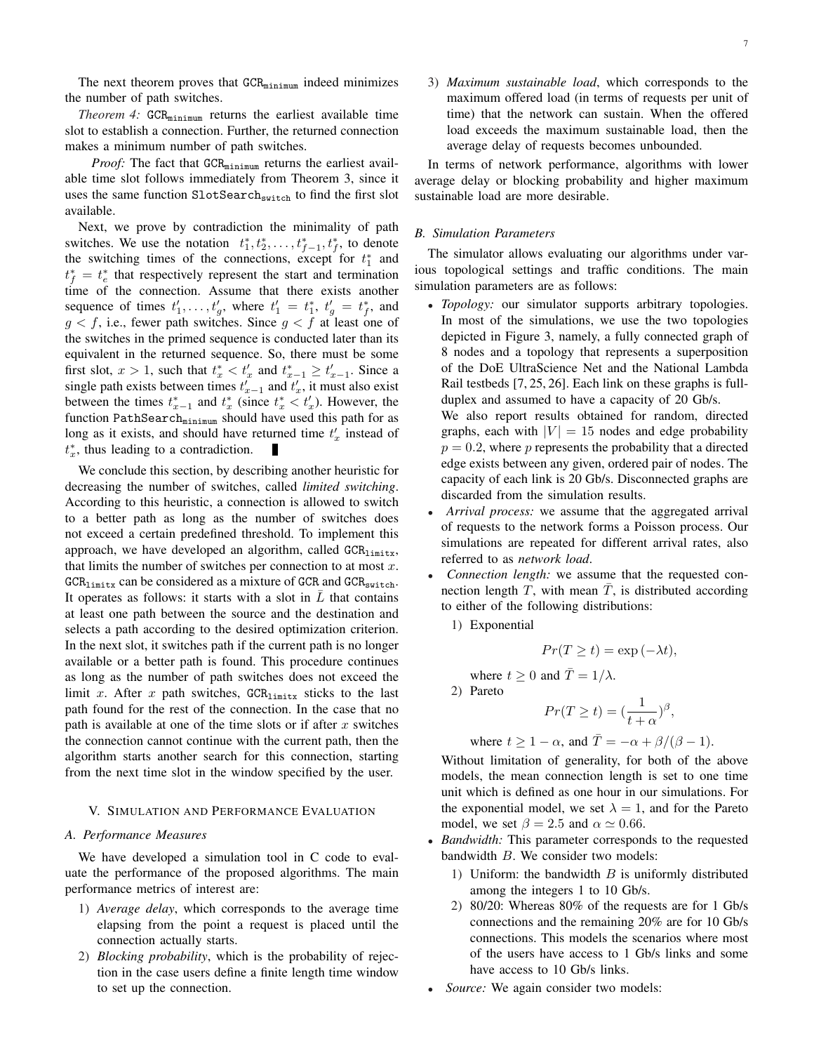The next theorem proves that  $GCR<sub>minimum</sub>$  indeed minimizes the number of path switches.

*Theorem 4:*  $GCR<sub>minimum</sub>$  returns the earliest available time slot to establish a connection. Further, the returned connection makes a minimum number of path switches.

*Proof:* The fact that  $GCR_{minimum}$  returns the earliest available time slot follows immediately from Theorem 3, since it uses the same function SlotSearch<sub>switch</sub> to find the first slot available.

Next, we prove by contradiction the minimality of path switches. We use the notation  $t_1^*, t_2^*, \ldots, t_{f-1}^*, t_f^*$ , to denote the switching times of the connections, except for  $t_1^*$  and  $t_f^* = t_e^*$  that respectively represent the start and termination time of the connection. Assume that there exists another sequence of times  $t'_1, \ldots, t'_g$ , where  $t'_1 = t^*_1, t'_g = t^*_f$ , and  $g < f$ , i.e., fewer path switches. Since  $g < f$  at least one of the switches in the primed sequence is conducted later than its equivalent in the returned sequence. So, there must be some first slot,  $x > 1$ , such that  $t_x^* < t_x'$  and  $t_{x-1}^* \ge t_{x-1}'$ . Since a single path exists between times  $t'_{x-1}$  and  $t'_{x}$ , it must also exist between the times  $t_{x-1}^*$  and  $t_x^*$  (since  $t_x^* < t_x'$ ). However, the function PathSearch $_{minimum}$  should have used this path for as long as it exists, and should have returned time  $t'_x$  instead of  $t_x^*$ , thus leading to a contradiction. H

We conclude this section, by describing another heuristic for decreasing the number of switches, called *limited switching*. According to this heuristic, a connection is allowed to switch to a better path as long as the number of switches does not exceed a certain predefined threshold. To implement this approach, we have developed an algorithm, called  $GCR_{limitx}$ , that limits the number of switches per connection to at most  $x$ .  $GCR<sub>limitx</sub>$  can be considered as a mixture of GCR and  $GCR<sub>switch</sub>$ . It operates as follows: it starts with a slot in  $\overline{L}$  that contains at least one path between the source and the destination and selects a path according to the desired optimization criterion. In the next slot, it switches path if the current path is no longer available or a better path is found. This procedure continues as long as the number of path switches does not exceed the limit x. After x path switches,  $GCR_{\text{limit}}$  sticks to the last path found for the rest of the connection. In the case that no path is available at one of the time slots or if after  $x$  switches the connection cannot continue with the current path, then the algorithm starts another search for this connection, starting from the next time slot in the window specified by the user.

## V. SIMULATION AND PERFORMANCE EVALUATION

# *A. Performance Measures*

We have developed a simulation tool in C code to evaluate the performance of the proposed algorithms. The main performance metrics of interest are:

- 1) *Average delay*, which corresponds to the average time elapsing from the point a request is placed until the connection actually starts.
- 2) *Blocking probability*, which is the probability of rejection in the case users define a finite length time window to set up the connection.

3) *Maximum sustainable load*, which corresponds to the maximum offered load (in terms of requests per unit of time) that the network can sustain. When the offered load exceeds the maximum sustainable load, then the average delay of requests becomes unbounded.

In terms of network performance, algorithms with lower average delay or blocking probability and higher maximum sustainable load are more desirable.

# *B. Simulation Parameters*

The simulator allows evaluating our algorithms under various topological settings and traffic conditions. The main simulation parameters are as follows:

• *Topology:* our simulator supports arbitrary topologies. In most of the simulations, we use the two topologies depicted in Figure 3, namely, a fully connected graph of 8 nodes and a topology that represents a superposition of the DoE UltraScience Net and the National Lambda Rail testbeds [7, 25, 26]. Each link on these graphs is fullduplex and assumed to have a capacity of 20 Gb/s.

We also report results obtained for random, directed graphs, each with  $|V| = 15$  nodes and edge probability  $p = 0.2$ , where p represents the probability that a directed edge exists between any given, ordered pair of nodes. The capacity of each link is 20 Gb/s. Disconnected graphs are discarded from the simulation results.

- *Arrival process:* we assume that the aggregated arrival of requests to the network forms a Poisson process. Our simulations are repeated for different arrival rates, also referred to as *network load*.
- *Connection length:* we assume that the requested connection length T, with mean  $\overline{T}$ , is distributed according to either of the following distributions:
	- 1) Exponential

$$
Pr(T \ge t) = \exp(-\lambda t),
$$

where  $t \geq 0$  and  $\overline{T} = 1/\lambda$ .

 $2)$ 

$$
Pr(T \ge t) = \left(\frac{1}{t+\alpha}\right)^{\beta},
$$

where  $t > 1 - \alpha$ , and  $\overline{T} = -\alpha + \beta/(\beta - 1)$ .

Without limitation of generality, for both of the above models, the mean connection length is set to one time unit which is defined as one hour in our simulations. For the exponential model, we set  $\lambda = 1$ , and for the Pareto model, we set  $\beta = 2.5$  and  $\alpha \simeq 0.66$ .

- *Bandwidth:* This parameter corresponds to the requested bandwidth B. We consider two models:
	- 1) Uniform: the bandwidth  $B$  is uniformly distributed among the integers 1 to 10 Gb/s.
	- 2) 80/20: Whereas 80% of the requests are for 1 Gb/s connections and the remaining 20% are for 10 Gb/s connections. This models the scenarios where most of the users have access to 1 Gb/s links and some have access to 10 Gb/s links.
- Source: We again consider two models: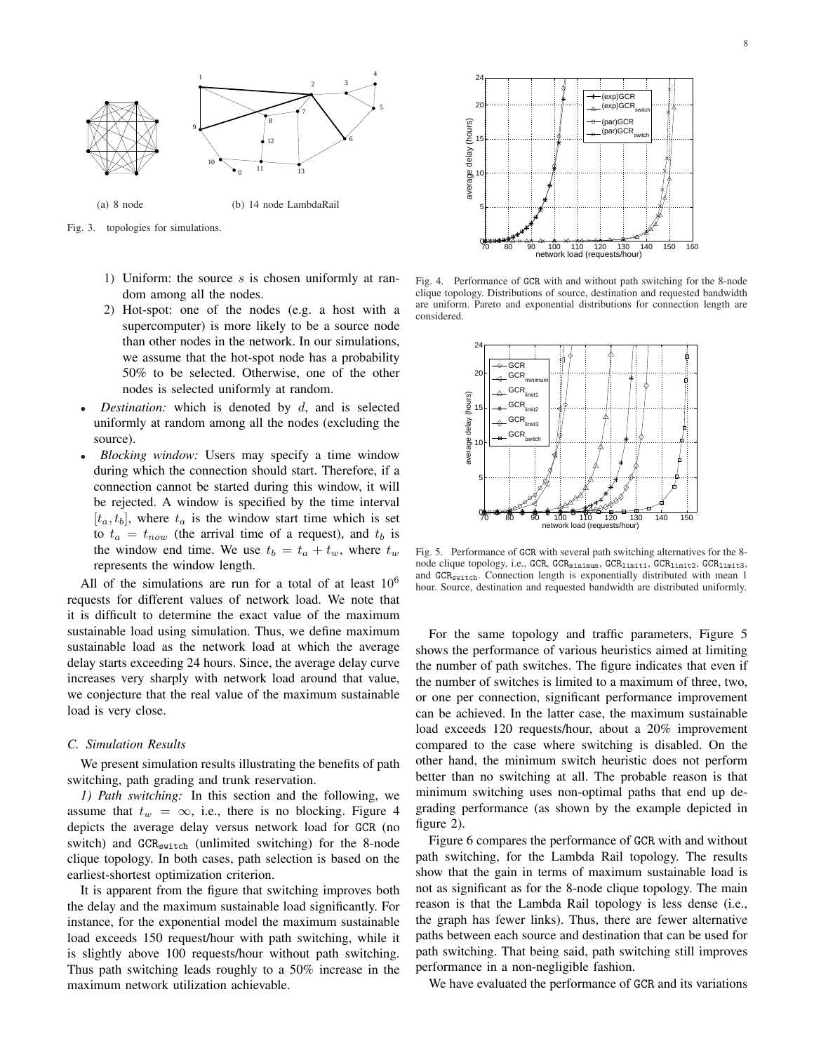

Fig. 3. topologies for simulations.

- 1) Uniform: the source  $s$  is chosen uniformly at random among all the nodes.
- 2) Hot-spot: one of the nodes (e.g. a host with a supercomputer) is more likely to be a source node than other nodes in the network. In our simulations, we assume that the hot-spot node has a probability 50% to be selected. Otherwise, one of the other nodes is selected uniformly at random.
- *Destination:* which is denoted by  $d$ , and is selected uniformly at random among all the nodes (excluding the source).
- *Blocking window:* Users may specify a time window during which the connection should start. Therefore, if a connection cannot be started during this window, it will be rejected. A window is specified by the time interval  $[t_a, t_b]$ , where  $t_a$  is the window start time which is set to  $t_a = t_{now}$  (the arrival time of a request), and  $t_b$  is the window end time. We use  $t_b = t_a + t_w$ , where  $t_w$ represents the window length.

All of the simulations are run for a total of at least  $10^6$ requests for different values of network load. We note that it is difficult to determine the exact value of the maximum sustainable load using simulation. Thus, we define maximum sustainable load as the network load at which the average delay starts exceeding 24 hours. Since, the average delay curve increases very sharply with network load around that value, we conjecture that the real value of the maximum sustainable load is very close.

# *C. Simulation Results*

We present simulation results illustrating the benefits of path switching, path grading and trunk reservation.

*1) Path switching:* In this section and the following, we assume that  $t_w = \infty$ , i.e., there is no blocking. Figure 4 depicts the average delay versus network load for GCR (no switch) and GCR<sub>switch</sub> (unlimited switching) for the 8-node clique topology. In both cases, path selection is based on the earliest-shortest optimization criterion.

It is apparent from the figure that switching improves both the delay and the maximum sustainable load significantly. For instance, for the exponential model the maximum sustainable load exceeds 150 request/hour with path switching, while it is slightly above 100 requests/hour without path switching. Thus path switching leads roughly to a 50% increase in the maximum network utilization achievable.



Fig. 4. Performance of GCR with and without path switching for the 8-node clique topology. Distributions of source, destination and requested bandwidth are uniform. Pareto and exponential distributions for connection length are considered.



Fig. 5. Performance of GCR with several path switching alternatives for the 8 node clique topology, i.e., GCR, GCRminimum, GCR1imit1, GCR1imit2, GCR1imit3, and GCR<sub>switch</sub>. Connection length is exponentially distributed with mean 1 hour. Source, destination and requested bandwidth are distributed uniformly.

For the same topology and traffic parameters, Figure 5 shows the performance of various heuristics aimed at limiting the number of path switches. The figure indicates that even if the number of switches is limited to a maximum of three, two, or one per connection, significant performance improvement can be achieved. In the latter case, the maximum sustainable load exceeds 120 requests/hour, about a 20% improvement compared to the case where switching is disabled. On the other hand, the minimum switch heuristic does not perform better than no switching at all. The probable reason is that minimum switching uses non-optimal paths that end up degrading performance (as shown by the example depicted in figure 2).

Figure 6 compares the performance of GCR with and without path switching, for the Lambda Rail topology. The results show that the gain in terms of maximum sustainable load is not as significant as for the 8-node clique topology. The main reason is that the Lambda Rail topology is less dense (i.e., the graph has fewer links). Thus, there are fewer alternative paths between each source and destination that can be used for path switching. That being said, path switching still improves performance in a non-negligible fashion.

We have evaluated the performance of GCR and its variations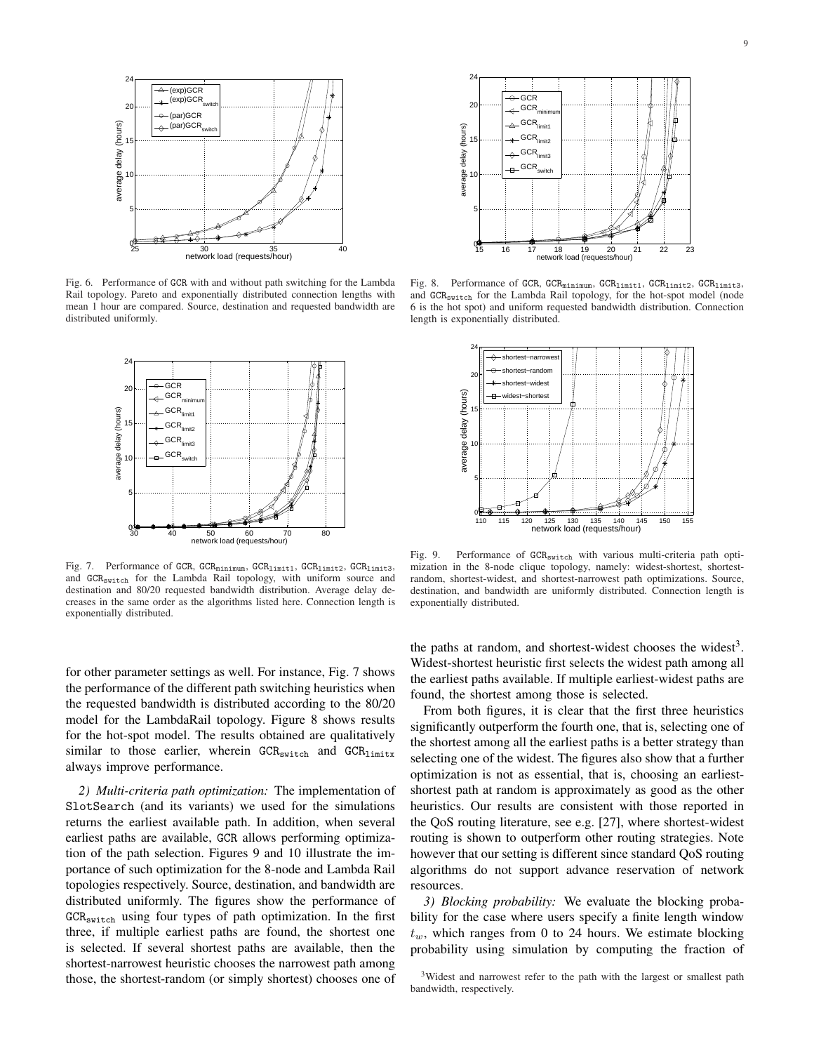

Fig. 6. Performance of GCR with and without path switching for the Lambda Rail topology. Pareto and exponentially distributed connection lengths with mean 1 hour are compared. Source, destination and requested bandwidth are distributed uniformly.



Fig. 7. Performance of GCR, GCR<sub>minimum</sub>, GCR<sub>limit1</sub>, GCR<sub>limit2</sub>, GCR<sub>limit3</sub>, and GCRswitch for the Lambda Rail topology, with uniform source and destination and 80/20 requested bandwidth distribution. Average delay decreases in the same order as the algorithms listed here. Connection length is exponentially distributed.

for other parameter settings as well. For instance, Fig. 7 shows the performance of the different path switching heuristics when the requested bandwidth is distributed according to the 80/20 model for the LambdaRail topology. Figure 8 shows results for the hot-spot model. The results obtained are qualitatively similar to those earlier, wherein GCR<sub>switch</sub> and GCR<sub>limitx</sub> always improve performance.

*2) Multi-criteria path optimization:* The implementation of SlotSearch (and its variants) we used for the simulations returns the earliest available path. In addition, when several earliest paths are available, GCR allows performing optimization of the path selection. Figures 9 and 10 illustrate the importance of such optimization for the 8-node and Lambda Rail topologies respectively. Source, destination, and bandwidth are distributed uniformly. The figures show the performance of GCR<sub>switch</sub> using four types of path optimization. In the first three, if multiple earliest paths are found, the shortest one is selected. If several shortest paths are available, then the shortest-narrowest heuristic chooses the narrowest path among those, the shortest-random (or simply shortest) chooses one of



Fig. 8. Performance of GCR, GCR<sub>minimum</sub>, GCR<sub>limit1</sub>, GCR<sub>limit2</sub>, GCR<sub>limit3</sub>, and GCRswitch for the Lambda Rail topology, for the hot-spot model (node 6 is the hot spot) and uniform requested bandwidth distribution. Connection length is exponentially distributed.



Fig. 9. Performance of GCR<sub>switch</sub> with various multi-criteria path optimization in the 8-node clique topology, namely: widest-shortest, shortestrandom, shortest-widest, and shortest-narrowest path optimizations. Source, destination, and bandwidth are uniformly distributed. Connection length is exponentially distributed.

the paths at random, and shortest-widest chooses the widest<sup>3</sup>. Widest-shortest heuristic first selects the widest path among all the earliest paths available. If multiple earliest-widest paths are found, the shortest among those is selected.

From both figures, it is clear that the first three heuristics significantly outperform the fourth one, that is, selecting one of the shortest among all the earliest paths is a better strategy than selecting one of the widest. The figures also show that a further optimization is not as essential, that is, choosing an earliestshortest path at random is approximately as good as the other heuristics. Our results are consistent with those reported in the QoS routing literature, see e.g. [27], where shortest-widest routing is shown to outperform other routing strategies. Note however that our setting is different since standard QoS routing algorithms do not support advance reservation of network resources.

*3) Blocking probability:* We evaluate the blocking probability for the case where users specify a finite length window  $t_w$ , which ranges from 0 to 24 hours. We estimate blocking probability using simulation by computing the fraction of

<sup>&</sup>lt;sup>3</sup>Widest and narrowest refer to the path with the largest or smallest path bandwidth, respectively.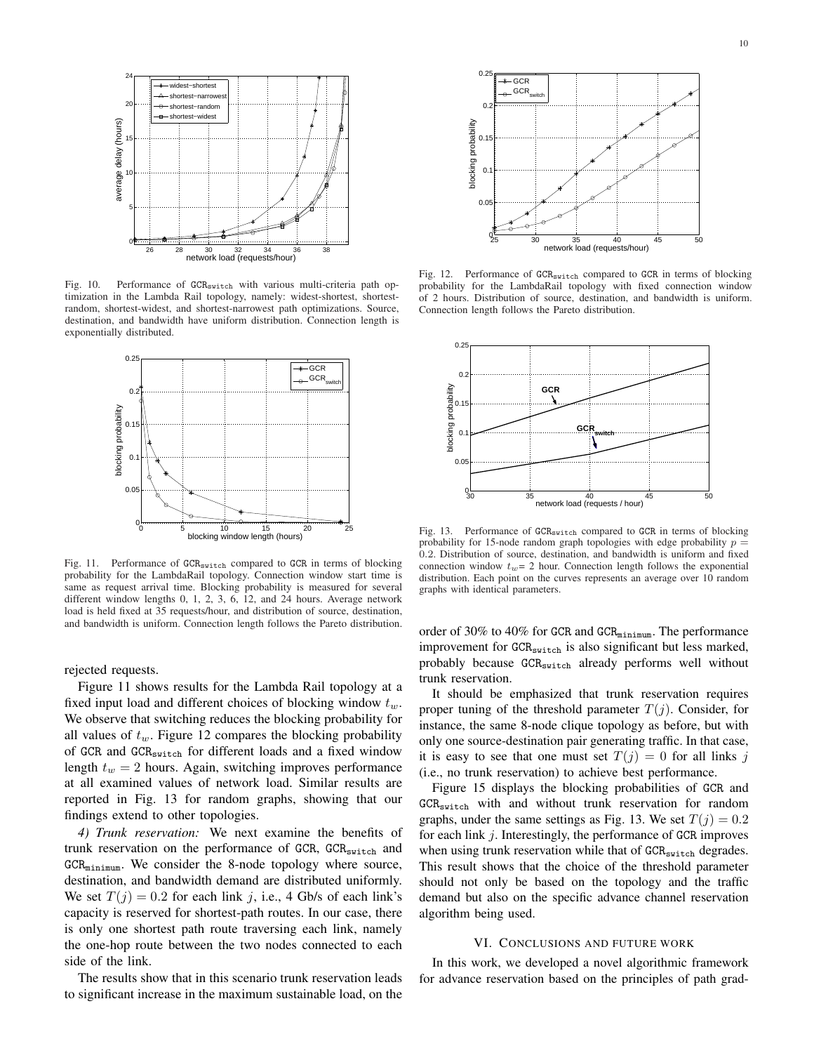

Fig. 10. Performance of GCR<sub>switch</sub> with various multi-criteria path optimization in the Lambda Rail topology, namely: widest-shortest, shortestrandom, shortest-widest, and shortest-narrowest path optimizations. Source, destination, and bandwidth have uniform distribution. Connection length is exponentially distributed.



Fig. 11. Performance of GCR<sub>switch</sub> compared to GCR in terms of blocking probability for the LambdaRail topology. Connection window start time is same as request arrival time. Blocking probability is measured for several different window lengths 0, 1, 2, 3, 6, 12, and 24 hours. Average network load is held fixed at 35 requests/hour, and distribution of source, destination, and bandwidth is uniform. Connection length follows the Pareto distribution.

rejected requests.

Figure 11 shows results for the Lambda Rail topology at a fixed input load and different choices of blocking window  $t_w$ . We observe that switching reduces the blocking probability for all values of  $t_w$ . Figure 12 compares the blocking probability of GCR and GCRswitch for different loads and a fixed window length  $t_w = 2$  hours. Again, switching improves performance at all examined values of network load. Similar results are reported in Fig. 13 for random graphs, showing that our findings extend to other topologies.

*4) Trunk reservation:* We next examine the benefits of trunk reservation on the performance of GCR,  $GCR_{switch}$  and  $GCR<sub>minimum</sub>$ . We consider the 8-node topology where source, destination, and bandwidth demand are distributed uniformly. We set  $T(j) = 0.2$  for each link j, i.e., 4 Gb/s of each link's capacity is reserved for shortest-path routes. In our case, there is only one shortest path route traversing each link, namely the one-hop route between the two nodes connected to each side of the link.

The results show that in this scenario trunk reservation leads to significant increase in the maximum sustainable load, on the



Fig. 12. Performance of GCR<sub>switch</sub> compared to GCR in terms of blocking probability for the LambdaRail topology with fixed connection window of 2 hours. Distribution of source, destination, and bandwidth is uniform. Connection length follows the Pareto distribution.



Fig. 13. Performance of GCR<sub>switch</sub> compared to GCR in terms of blocking probability for 15-node random graph topologies with edge probability  $p =$ 0.2. Distribution of source, destination, and bandwidth is uniform and fixed connection window  $t_w = 2$  hour. Connection length follows the exponential distribution. Each point on the curves represents an average over 10 random graphs with identical parameters.

order of 30% to 40% for GCR and  $GCR<sub>minimum</sub>$ . The performance improvement for GCR<sub>switch</sub> is also significant but less marked, probably because GCR<sub>switch</sub> already performs well without trunk reservation.

It should be emphasized that trunk reservation requires proper tuning of the threshold parameter  $T(j)$ . Consider, for instance, the same 8-node clique topology as before, but with only one source-destination pair generating traffic. In that case, it is easy to see that one must set  $T(j) = 0$  for all links j (i.e., no trunk reservation) to achieve best performance.

Figure 15 displays the blocking probabilities of GCR and GCR<sub>switch</sub> with and without trunk reservation for random graphs, under the same settings as Fig. 13. We set  $T(j) = 0.2$ for each link j. Interestingly, the performance of GCR improves when using trunk reservation while that of  $GCR<sub>switch</sub>$  degrades. This result shows that the choice of the threshold parameter should not only be based on the topology and the traffic demand but also on the specific advance channel reservation algorithm being used.

# VI. CONCLUSIONS AND FUTURE WORK

In this work, we developed a novel algorithmic framework for advance reservation based on the principles of path grad-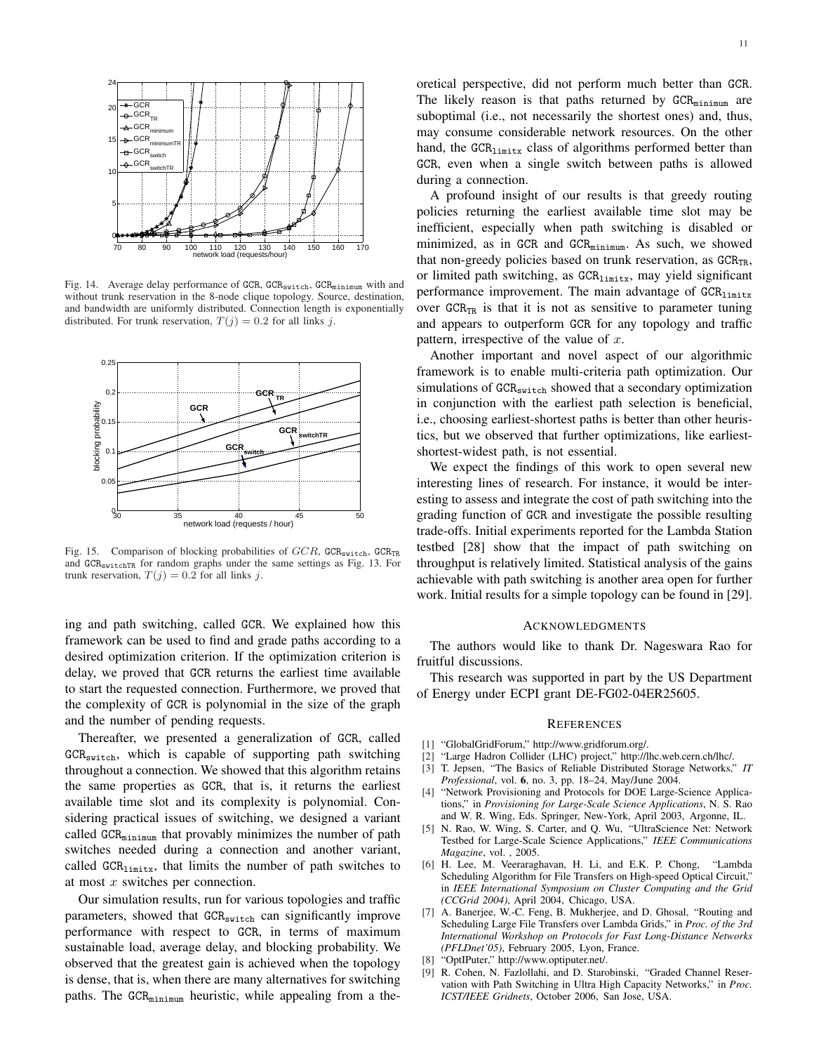

Fig. 14. Average delay performance of GCR, GCR<sub>switch</sub>, GCR<sub>minimum</sub> with and without trunk reservation in the 8-node clique topology. Source, destination, and bandwidth are uniformly distributed. Connection length is exponentially distributed. For trunk reservation,  $T(j) = 0.2$  for all links j.



Fig. 15. Comparison of blocking probabilities of  $GCR$ ,  $GCR<sub>switch</sub>$ ,  $GCR<sub>TR</sub>$ and GCRswitchTR for random graphs under the same settings as Fig. 13. For trunk reservation,  $T(j) = 0.2$  for all links j.

ing and path switching, called GCR. We explained how this framework can be used to find and grade paths according to a desired optimization criterion. If the optimization criterion is delay, we proved that GCR returns the earliest time available to start the requested connection. Furthermore, we proved that the complexity of GCR is polynomial in the size of the graph and the number of pending requests.

Thereafter, we presented a generalization of GCR, called GCR<sub>switch</sub>, which is capable of supporting path switching throughout a connection. We showed that this algorithm retains the same properties as GCR, that is, it returns the earliest available time slot and its complexity is polynomial. Considering practical issues of switching, we designed a variant called  $GCR<sub>minimum</sub>$  that provably minimizes the number of path switches needed during a connection and another variant, called  $GCR<sub>limitx</sub>$ , that limits the number of path switches to at most  $x$  switches per connection.

Our simulation results, run for various topologies and traffic parameters, showed that GCR<sub>switch</sub> can significantly improve performance with respect to GCR, in terms of maximum sustainable load, average delay, and blocking probability. We observed that the greatest gain is achieved when the topology is dense, that is, when there are many alternatives for switching paths. The  $GCR<sub>minimum</sub>$  heuristic, while appealing from a the-

during a connection. A profound insight of our results is that greedy routing policies returning the earliest available time slot may be inefficient, especially when path switching is disabled or minimized, as in GCR and GCR<sub>minimum</sub>. As such, we showed that non-greedy policies based on trunk reservation, as  $GCR_{TR}$ , or limited path switching, as GCR<sub>limitx</sub>, may yield significant performance improvement. The main advantage of GCR<sub>limitx</sub> over  $GCR_{TR}$  is that it is not as sensitive to parameter tuning and appears to outperform GCR for any topology and traffic pattern, irrespective of the value of  $x$ .

GCR, even when a single switch between paths is allowed

Another important and novel aspect of our algorithmic framework is to enable multi-criteria path optimization. Our simulations of GCR<sub>switch</sub> showed that a secondary optimization in conjunction with the earliest path selection is beneficial, i.e., choosing earliest-shortest paths is better than other heuristics, but we observed that further optimizations, like earliestshortest-widest path, is not essential.

We expect the findings of this work to open several new interesting lines of research. For instance, it would be interesting to assess and integrate the cost of path switching into the grading function of GCR and investigate the possible resulting trade-offs. Initial experiments reported for the Lambda Station testbed [28] show that the impact of path switching on throughput is relatively limited. Statistical analysis of the gains achievable with path switching is another area open for further work. Initial results for a simple topology can be found in [29].

#### ACKNOWLEDGMENTS

The authors would like to thank Dr. Nageswara Rao for fruitful discussions.

This research was supported in part by the US Department of Energy under ECPI grant DE-FG02-04ER25605.

#### **REFERENCES**

- [1] "GlobalGridForum," http://www.gridforum.org/.
- [2] "Large Hadron Collider (LHC) project," http://lhc.web.cern.ch/lhc/.
- [3] T. Jepsen, "The Basics of Reliable Distributed Storage Networks," *IT Professional*, vol. 6, no. 3, pp. 18–24, May/June 2004.
- [4] "Network Provisioning and Protocols for DOE Large-Science Applications," in *Provisioning for Large-Scale Science Applications*, N. S. Rao and W. R. Wing, Eds. Springer, New-York, April 2003, Argonne, IL.
- [5] N. Rao, W. Wing, S. Carter, and Q. Wu, "UltraScience Net: Network Testbed for Large-Scale Science Applications," *IEEE Communications Magazine*, vol. , 2005.
- [6] H. Lee, M. Veeraraghavan, H. Li, and E.K. P. Chong, "Lambda Scheduling Algorithm for File Transfers on High-speed Optical Circuit," in *IEEE International Symposium on Cluster Computing and the Grid (CCGrid 2004)*, April 2004, Chicago, USA.
- [7] A. Banerjee, W.-C. Feng, B. Mukherjee, and D. Ghosal, "Routing and Scheduling Large File Transfers over Lambda Grids," in *Proc. of the 3rd International Workshop on Protocols for Fast Long-Distance Networks (PFLDnet'05)*, February 2005, Lyon, France.
- "OptIPuter," http://www.optiputer.net/.
- [9] R. Cohen, N. Fazlollahi, and D. Starobinski, "Graded Channel Reservation with Path Switching in Ultra High Capacity Networks," in *Proc. ICST/IEEE Gridnets*, October 2006, San Jose, USA.